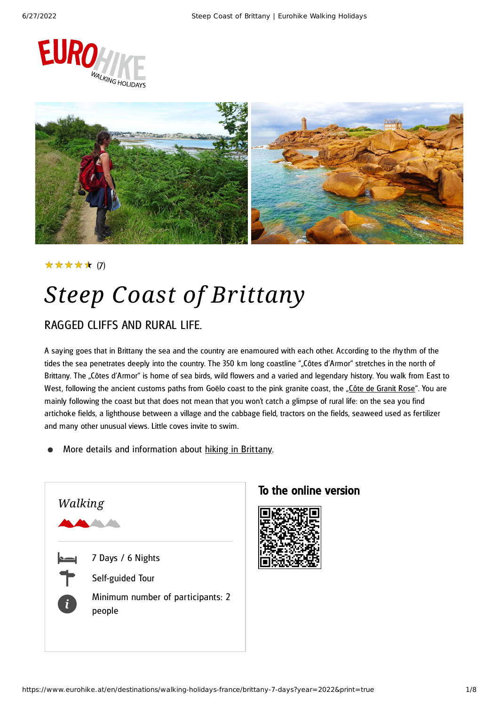



### ★★★★★ (7)

## *Steep Coast of Brittany*

### RAGGED CLIFFS AND RURAL LIFE.

A saying goes that in Brittany the sea and the country are enamoured with each other. According to the rhythm of the tides the sea penetrates deeply into the country. The 350 km long coastline ""Côtes d'Armor" stretches in the north of Brittany. The "Côtes d'Armor" is home of sea birds, wild flowers and a varied and legendary history. You walk from East to West, following the ancient customs paths from Goëlo coast to the pink granite coast, the "Côte de [Granit](http://de.wikipedia.org/wiki/C%C3%B4te_de_Granit_Rose) Rose". You are mainly following the coast but that does not mean that you won't catch a glimpse of rural life: on the sea you find artichoke fields, a lighthouse between a village and the cabbage field, tractors on the fields, seaweed used as fertilizer and many other unusual views. Little coves invite to swim.

More details and information about [hiking](https://www.eurohike.at/en/destinations/walking-holidays-france/brittany) in Brittany.



### To the online version

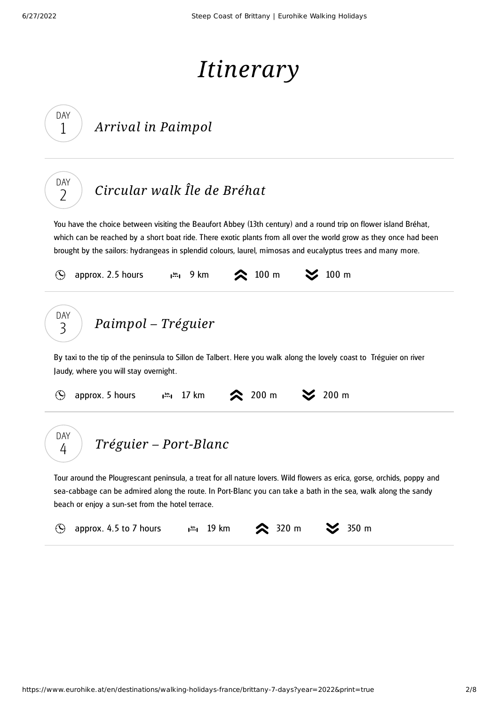# *Itinerary*

<span id="page-1-2"></span><span id="page-1-1"></span><span id="page-1-0"></span>

| DAY<br>1                | Arrival in Paimpol                                                                                                                                                                                                                                                                                                                                   |
|-------------------------|------------------------------------------------------------------------------------------------------------------------------------------------------------------------------------------------------------------------------------------------------------------------------------------------------------------------------------------------------|
| DAY<br>$\overline{2}$   | Circular walk Île de Bréhat                                                                                                                                                                                                                                                                                                                          |
|                         | You have the choice between visiting the Beaufort Abbey (13th century) and a round trip on flower island Bréhat,<br>which can be reached by a short boat ride. There exotic plants from all over the world grow as they once had been<br>brought by the sailors: hydrangeas in splendid colours, laurel, mimosas and eucalyptus trees and many more. |
| $\left(\bigcup\right)$  | $\approx 100 \text{ m}$<br>$\geq$ 100 m<br>approx. 2.5 hours<br>$\mathbf{I}^{\text{km}}$ $\mathbf{I}$ 9 km                                                                                                                                                                                                                                           |
| DAY<br>3                | Paimpol – Tréguier<br>By taxi to the tip of the peninsula to Sillon de Talbert. Here you walk along the lovely coast to Tréguier on river<br>Jaudy, where you will stay overnight.                                                                                                                                                                   |
| $\odot$                 | <b>◇</b> 200 m<br>$\frac{200 \text{ m}}{200 \text{ m}}$<br>$\mathbf{m}_1$ 17 km<br>approx. 5 hours                                                                                                                                                                                                                                                   |
| <b>DAY</b><br>4         | Tréguier – Port-Blanc                                                                                                                                                                                                                                                                                                                                |
|                         | Tour around the Plougrescant peninsula, a treat for all nature lovers. Wild flowers as erica, gorse, orchids, poppy and<br>sea-cabbage can be admired along the route. In Port-Blanc you can take a bath in the sea, walk along the sandy<br>beach or enjoy a sun-set from the hotel terrace.                                                        |
| $\left(\bigcirc\right)$ | 350 m<br>approx. 4.5 to 7 hours<br>$320 \text{ m}$<br>19 km<br>$\mathbf{I}^{\text{km}}$                                                                                                                                                                                                                                                              |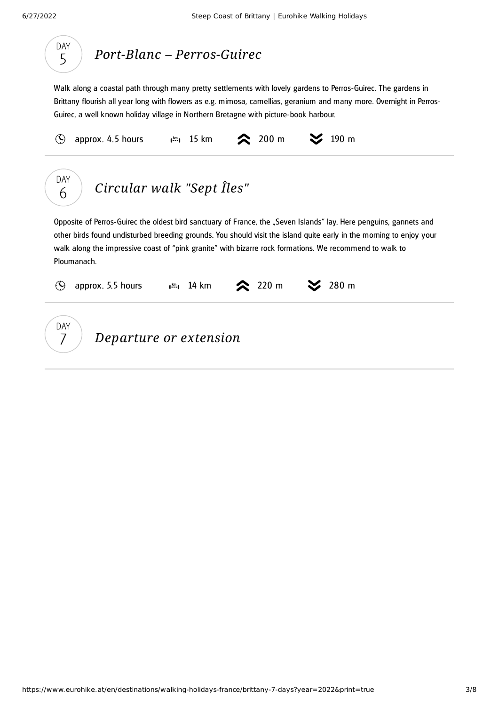

## *Port-Blanc – [Perros-Guirec](#page-2-0)*

<span id="page-2-0"></span>Walk along a coastal path through many pretty settlements with lovely gardens to Perros-Guirec. The gardens in Brittany flourish all year long with flowers as e.g. mimosa, camellias, geranium and many more. Overnight in Perros-Guirec, a well known holiday village in Northern Bretagne with picture-book harbour.

<span id="page-2-1"></span>approx. 4.5 hours  $\mathfrak{g}^m$ , 15 km  $\approx$  200 m  $\approx$  190 m  $\mathcal{O}$ DAY *[Circular](#page-2-1) walk "Sept Îles"* 6 Opposite of Perros-Guirec the oldest bird sanctuary of France, the "Seven Islands" lay. Here penguins, gannets and other birds found undisturbed breeding grounds. You should visit the island quite early in the morning to enjoy your walk along the impressive coast of "pink granite" with bizarre rock formations. We recommend to walk to Ploumanach. approx. 5.5 hours  $\mathbb{R}^m$ , 14 km  $\approx$  220 m  $\approx$  280 m  $\mathcal{O}$ DAY *Departure or extension* 7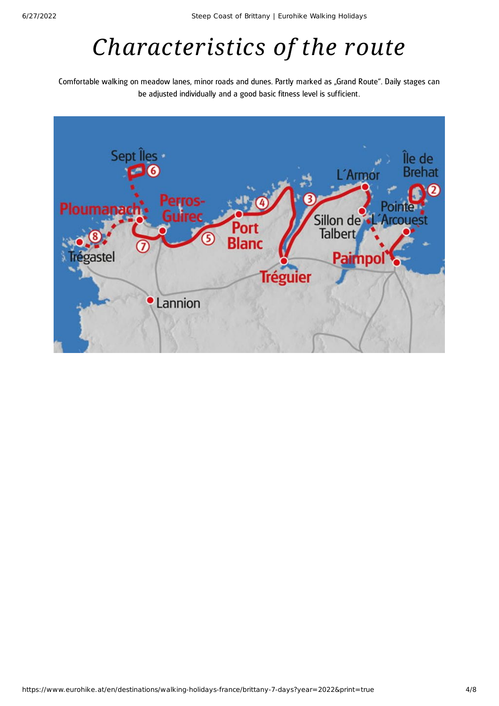## *Characteristics of the route*

Comfortable walking on meadow lanes, minor roads and dunes. Partly marked as "Grand Route". Daily stages can be adjusted individually and a good basic fitness level is sufficient.

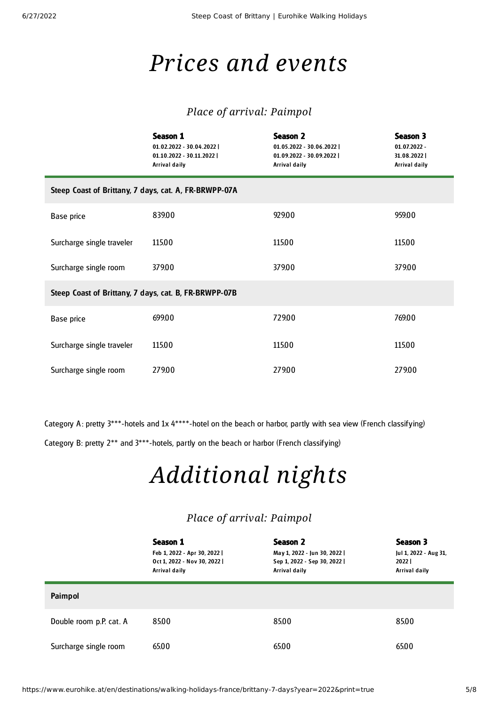## *Prices and events*

### *Place of arrival: Paimpol*

|                                                       | Season 1<br>01.02.2022 - 30.04.2022  <br>01.10.2022 - 30.11.2022  <br>Arrival daily | <b>Season 2</b><br>01.05.2022 - 30.06.2022  <br>01.09.2022 - 30.09.2022  <br>Arrival daily | Season 3<br>$01.07.2022 -$<br>31.08.2022  <br><b>Arrival daily</b> |  |  |  |  |
|-------------------------------------------------------|-------------------------------------------------------------------------------------|--------------------------------------------------------------------------------------------|--------------------------------------------------------------------|--|--|--|--|
| Steep Coast of Brittany, 7 days, cat. A, FR-BRWPP-07A |                                                                                     |                                                                                            |                                                                    |  |  |  |  |
| Base price                                            | 839.00                                                                              | 929.00                                                                                     | 959.00                                                             |  |  |  |  |
| Surcharge single traveler                             | 115.00                                                                              | 115.00                                                                                     | 115.00                                                             |  |  |  |  |
| Surcharge single room                                 | 379.00                                                                              | 379.00                                                                                     | 379.00                                                             |  |  |  |  |
| Steep Coast of Brittany, 7 days, cat. B, FR-BRWPP-07B |                                                                                     |                                                                                            |                                                                    |  |  |  |  |
| Base price                                            | 699.00                                                                              | 729.00                                                                                     | 769.00                                                             |  |  |  |  |
| Surcharge single traveler                             | 115.00                                                                              | 115.00                                                                                     | 115.00                                                             |  |  |  |  |
| Surcharge single room                                 | 279.00                                                                              | 279.00                                                                                     | 279.00                                                             |  |  |  |  |

Category A: pretty  $3***$ -hotels and 1x  $4***$ -hotel on the beach or harbor, partly with sea view (French classifying) Category B: pretty 2\*\* and 3\*\*\*-hotels, partly on the beach or harbor (French classifying)

## *Additional nights*

### *Place of arrival: Paimpol*

|                         | Season 1<br>Feb 1, 2022 - Apr 30, 2022  <br>Oct 1, 2022 - Nov 30, 2022  <br>Arrival daily | Season 2<br>May 1, 2022 - Jun 30, 2022  <br>Sep 1, 2022 - Sep 30, 2022  <br>Arrival daily | Season 3<br>Jul 1, 2022 - Aug 31,<br>2022<br>Arrival daily |
|-------------------------|-------------------------------------------------------------------------------------------|-------------------------------------------------------------------------------------------|------------------------------------------------------------|
| Paimpol                 |                                                                                           |                                                                                           |                                                            |
| Double room p.P. cat. A | 85.00                                                                                     | 85.00                                                                                     | 85.00                                                      |
| Surcharge single room   | 65.00                                                                                     | 65.00                                                                                     | 65.00                                                      |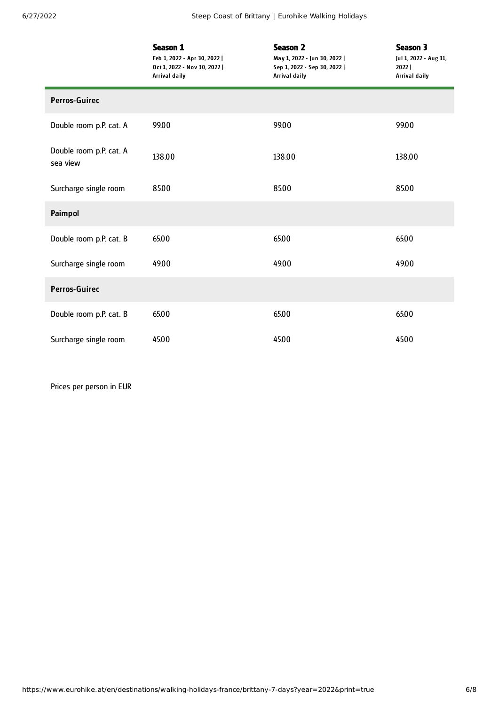|                                     | Season 1<br>Feb 1, 2022 - Apr 30, 2022  <br>Oct 1, 2022 - Nov 30, 2022  <br><b>Arrival daily</b> | <b>Season 2</b><br>May 1, 2022 - Jun 30, 2022  <br>Sep 1, 2022 - Sep 30, 2022  <br><b>Arrival daily</b> | Season 3<br>Jul 1, 2022 - Aug 31,<br>2022  <br><b>Arrival daily</b> |  |
|-------------------------------------|--------------------------------------------------------------------------------------------------|---------------------------------------------------------------------------------------------------------|---------------------------------------------------------------------|--|
| <b>Perros-Guirec</b>                |                                                                                                  |                                                                                                         |                                                                     |  |
| Double room p.P. cat. A             | 99.00                                                                                            | 99.00                                                                                                   | 99.00                                                               |  |
| Double room p.P. cat. A<br>sea view | 138.00                                                                                           | 138.00                                                                                                  | 138.00                                                              |  |
| Surcharge single room               | 85.00                                                                                            | 85.00                                                                                                   | 85.00                                                               |  |
| Paimpol                             |                                                                                                  |                                                                                                         |                                                                     |  |
| Double room p.P. cat. B             | 65.00                                                                                            | 65.00                                                                                                   | 65.00                                                               |  |
| Surcharge single room               | 49.00                                                                                            | 49.00                                                                                                   | 49.00                                                               |  |
| <b>Perros-Guirec</b>                |                                                                                                  |                                                                                                         |                                                                     |  |
| Double room p.P. cat. B             | 65.00                                                                                            | 65.00                                                                                                   | 65.00                                                               |  |
| Surcharge single room               | 45.00                                                                                            | 45.00                                                                                                   | 45.00                                                               |  |

Prices per person in EUR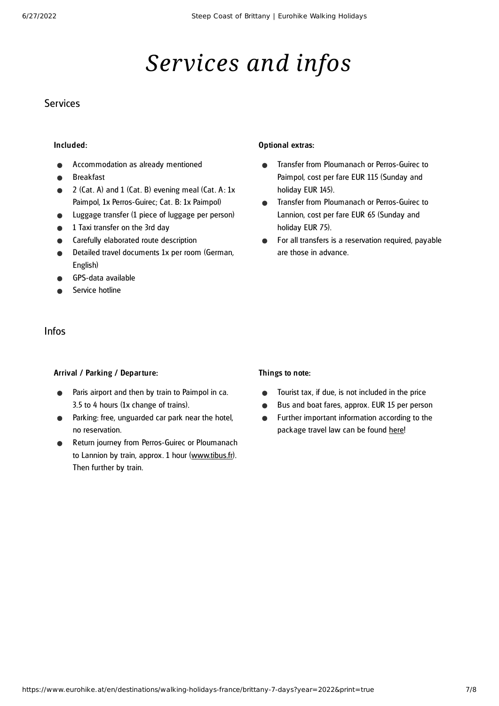## *Services and infos*

### **Services**

#### Included:

- Accommodation as already mentioned
- Breakfast
- 2 (Cat. A) and  $1$  (Cat. B) evening meal (Cat. A:  $1x$ Paimpol, 1x Perros-Guirec; Cat. B: 1x Paimpol)
- Luggage transfer (1 piece of luggage per person)
- 1 Taxi transfer on the 3rd day
- Carefully elaborated route description
- Detailed travel documents 1x per room (German, English)
- GPS-data available
- Service hotline

### Infos

#### Arrival / Parking / Departure:

- Paris airport and then by train to Paimpol in ca. 3.5 to 4 hours (1x change of trains).
- **•** Parking: free, unguarded car park near the hotel, no reservation.
- Return journey from Perros-Guirec or Ploumanach to Lannion by train, approx. 1 hour ([www.tibus.fr\)](http://www.tibus.fr/). Then further by train.

#### Optional extras:

- Transfer from Ploumanach or Perros-Guirec to  $\bullet$ Paimpol, cost per fare EUR 115 (Sunday and holiday EUR 145).
- Transfer from Ploumanach or Perros-Guirec to  $\bullet$ Lannion, cost per fare EUR 65 (Sunday and holiday EUR 75).
- For all transfers is a reservation required, payable  $\bullet$ are those in advance.

#### Things to note:

- Tourist tax, if due, is not included in the price  $\bullet$
- Bus and boat fares, approx. EUR 15 per person  $\bullet$
- Further important information according to the  $\bullet$ package travel law can be found [here](https://www.eurohike.at/en/travel-information/before-the-tour/pci)!